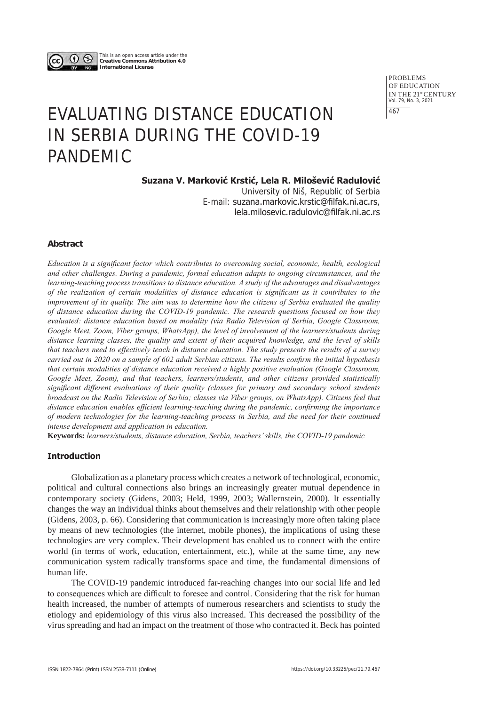

This is an open access article under the **Creative Commons Attribution 4.0 International License**

> PROBLEMS OF EDUCATION IN THE 21st CENTURY Vol. 79, No. 3, 2021 467

# EVALUATING DISTANCE EDUCATION IN SERBIA DURING THE COVID-19 PANDEMIC

# **Suzana V. Marković Krstić, Lela R. Milošević Radulović**

University of Niš, Republic of Serbia E-mail: suzana.markovic.krstic@filfak.ni.ac.rs, lela.milosevic.radulovic@filfak.ni.ac.rs

## **Abstract**

*Education is a significant factor which contributes to overcoming social, economic, health, ecological and other challenges. During a pandemic, formal education adapts to ongoing circumstances, and the learning-teaching process transitions to distance education. A study of the advantages and disadvantages of the realization of certain modalities of distance education is significant as it contributes to the improvement of its quality. The aim was to determine how the citizens of Serbia evaluated the quality of distance education during the COVID-19 pandemic. The research questions focused on how they evaluated: distance education based on modality (via Radio Television of Serbia, Google Classroom, Google Meet, Zoom, Viber groups, WhatsApp), the level of involvement of the learners/students during distance learning classes, the quality and extent of their acquired knowledge, and the level of skills that teachers need to effectively teach in distance education. The study presents the results of a survey carried out in 2020 on a sample of 602 adult Serbian citizens. The results confirm the initial hypothesis that certain modalities of distance education received a highly positive evaluation (Google Classroom, Google Meet, Zoom), and that teachers, learners/students, and other citizens provided statistically significant different evaluations of their quality (classes for primary and secondary school students broadcast on the Radio Television of Serbia; classes via Viber groups, on WhatsApp). Citizens feel that distance education enables efficient learning-teaching during the pandemic, confirming the importance of modern technologies for the learning-teaching process in Serbia, and the need for their continued intense development and application in education.* 

**Keywords:** *learners/students, distance education, Serbia, teachers' skills, the COVID-19 pandemic*

## **Introduction**

Globalization as a planetary process which creates a network of technological, economic, political and cultural connections also brings an increasingly greater mutual dependence in contemporary society (Gidens, 2003; Held, 1999, 2003; Wallernstein, 2000). It essentially changes the way an individual thinks about themselves and their relationship with other people (Gidens, 2003, p. 66). Considering that communication is increasingly more often taking place by means of new technologies (the internet, mobile phones), the implications of using these technologies are very complex. Their development has enabled us to connect with the entire world (in terms of work, education, entertainment, etc.), while at the same time, any new communication system radically transforms space and time, the fundamental dimensions of human life.

The COVID-19 pandemic introduced far-reaching changes into our social life and led to consequences which are difficult to foresee and control. Considering that the risk for human health increased, the number of attempts of numerous researchers and scientists to study the etiology and epidemiology of this virus also increased. This decreased the possibility of the virus spreading and had an impact on the treatment of those who contracted it. Beck has pointed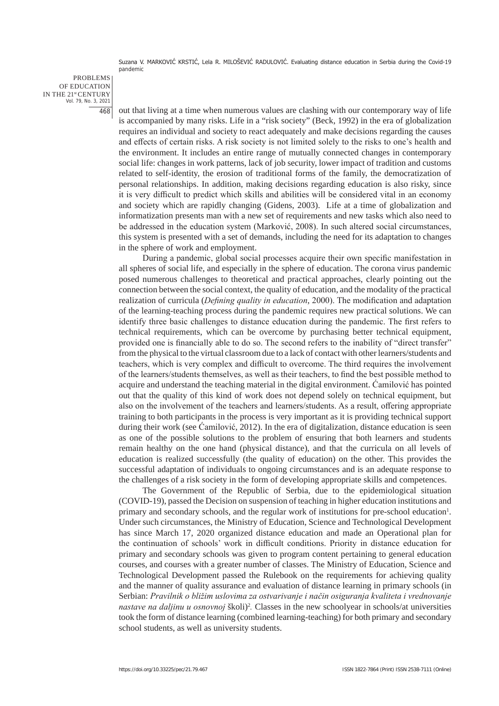PROBLEMS OF EDUCATION IN THE 21st CENTURY Vol. 79, No. 3, 2021 468

out that living at a time when numerous values are clashing with our contemporary way of life is accompanied by many risks. Life in a "risk society" (Beck, 1992) in the era of globalization requires an individual and society to react adequately and make decisions regarding the causes and effects of certain risks. A risk society is not limited solely to the risks to one's health and the environment. It includes an entire range of mutually connected changes in contemporary social life: changes in work patterns, lack of job security, lower impact of tradition and customs related to self-identity, the erosion of traditional forms of the family, the democratization of personal relationships. In addition, making decisions regarding education is also risky, since it is very difficult to predict which skills and abilities will be considered vital in an economy and society which are rapidly changing (Gidens, 2003). Life at a time of globalization and informatization presents man with a new set of requirements and new tasks which also need to be addressed in the education system (Marković, 2008). In such altered social circumstances, this system is presented with a set of demands, including the need for its adaptation to changes in the sphere of work and employment.

During a pandemic, global social processes acquire their own specific manifestation in all spheres of social life, and especially in the sphere of education. The corona virus pandemic posed numerous challenges to theoretical and practical approaches, clearly pointing out the connection between the social context, the quality of education, and the modality of the practical realization of curricula (*Defining quality in education*, 2000). The modification and adaptation of the learning-teaching process during the pandemic requires new practical solutions. We can identify three basic challenges to distance education during the pandemic. The first refers to technical requirements, which can be overcome by purchasing better technical equipment, provided one is financially able to do so. The second refers to the inability of "direct transfer" from the physical to the virtual classroom due to a lack of contact with other learners/students and teachers, which is very complex and difficult to overcome. The third requires the involvement of the learners/students themselves, as well as their teachers, to find the best possible method to acquire and understand the teaching material in the digital environment. Ćamilović has pointed out that the quality of this kind of work does not depend solely on technical equipment, but also on the involvement of the teachers and learners/students. As a result, offering appropriate training to both participants in the process is very important as it is providing technical support during their work (see Ćamilović, 2012). In the era of digitalization, distance education is seen as one of the possible solutions to the problem of ensuring that both learners and students remain healthy on the one hand (physical distance), and that the curricula on all levels of education is realized successfully (the quality of education) on the other. This provides the successful adaptation of individuals to ongoing circumstances and is an adequate response to the challenges of a risk society in the form of developing appropriate skills and competences.

The Government of the Republic of Serbia, due to the epidemiological situation (COVID-19), passed the Decision on suspension of teaching in higher education institutions and primary and secondary schools, and the regular work of institutions for pre-school education<sup>1</sup>. Under such circumstances, the Ministry of Education, Science and Technological Development has since March 17, 2020 organized distance education and made an Operational plan for the continuation of schools' work in difficult conditions. Priority in distance education for primary and secondary schools was given to program content pertaining to general education courses, and courses with a greater number of classes. The Ministry of Education, Science and Technological Development passed the Rulebook on the requirements for achieving quality and the manner of quality assurance and evaluation of distance learning in primary schools (in Serbian: *Pravilnik o bližim uslovima za ostvarivanje i način osiguranja kvaliteta i vrednovanje*  nastave na daljinu u osnovnoj školi)<sup>2</sup>. Classes in the new schoolyear in schools/at universities took the form of distance learning (combined learning-teaching) for both primary and secondary school students, as well as university students.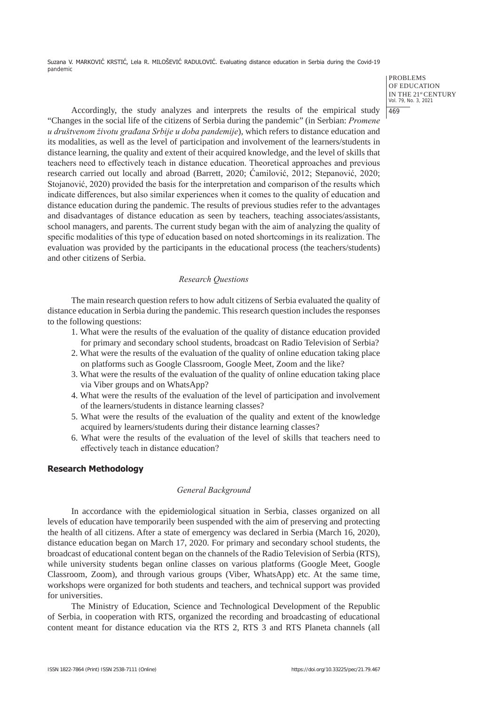> PROBLEMS OF EDUCATION IN THE 21st CENTURY Vol. 79, No. 3, 2021 469

Accordingly, the study analyzes and interprets the results of the empirical study "Changes in the social life of the citizens of Serbia during the pandemic" (in Serbian: *Promene u društvenom životu građana Srbije u doba pandemije*), which refers to distance education and its modalities, as well as the level of participation and involvement of the learners/students in distance learning, the quality and extent of their acquired knowledge, and the level of skills that teachers need to effectively teach in distance education. Theoretical approaches and previous research carried out locally and abroad (Barrett, 2020; Ćamilović, 2012; Stepanović, 2020; Stojanović, 2020) provided the basis for the interpretation and comparison of the results which indicate differences, but also similar experiences when it comes to the quality of education and distance education during the pandemic. The results of previous studies refer to the advantages and disadvantages of distance education as seen by teachers, teaching associates/assistants, school managers, and parents. The current study began with the aim of analyzing the quality of specific modalities of this type of education based on noted shortcomings in its realization. The evaluation was provided by the participants in the educational process (the teachers/students) and other citizens of Serbia.

## *Research Questions*

The main research question refers to how adult citizens of Serbia evaluated the quality of distance education in Serbia during the pandemic. This research question includes the responses to the following questions:

- 1. What were the results of the evaluation of the quality of distance education provided for primary and secondary school students, broadcast on Radio Television of Serbia?
- 2. What were the results of the evaluation of the quality of online education taking place on platforms such as Google Classroom, Google Meet, Zoom and the like?
- 3. What were the results of the evaluation of the quality of online education taking place via Viber groups and on WhatsApp?
- 4. What were the results of the evaluation of the level of participation and involvement of the learners/students in distance learning classes?
- 5. What were the results of the evaluation of the quality and extent of the knowledge acquired by learners/students during their distance learning classes?
- 6. What were the results of the evaluation of the level of skills that teachers need to effectively teach in distance education?

## **Research Methodology**

## *General Background*

In accordance with the epidemiological situation in Serbia, classes organized on all levels of education have temporarily been suspended with the aim of preserving and protecting the health of all citizens. After a state of emergency was declared in Serbia (March 16, 2020), distance education began on March 17, 2020. For primary and secondary school students, the broadcast of educational content began on the channels of the Radio Television of Serbia (RTS), while university students began online classes on various platforms (Google Meet, Google Classroom, Zoom), and through various groups (Viber, WhatsApp) etc. At the same time, workshops were organized for both students and teachers, and technical support was provided for universities.

The Ministry of Education, Science and Technological Development of the Republic of Serbia, in cooperation with RTS, organized the recording and broadcasting of educational content meant for distance education via the RTS 2, RTS 3 and RTS Planeta channels (all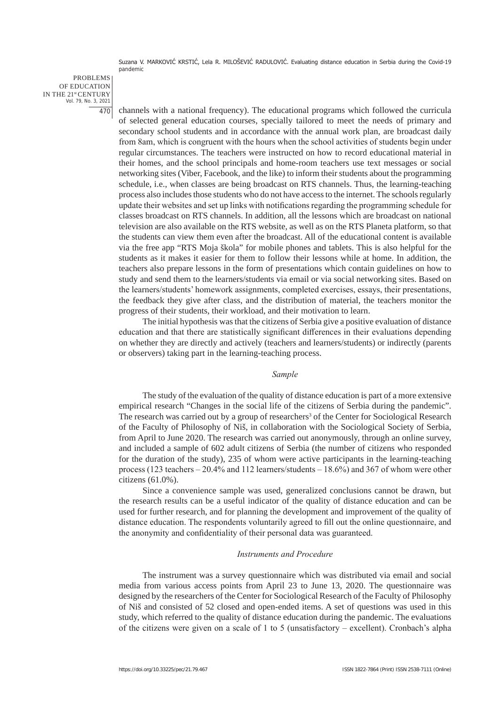PROBLEMS OF EDUCATION IN THE 21st CENTURY Vol. 79, No. 3, 2021 470

channels with a national frequency). The educational programs which followed the curricula of selected general education courses, specially tailored to meet the needs of primary and secondary school students and in accordance with the annual work plan, are broadcast daily from 8am, which is congruent with the hours when the school activities of students begin under regular circumstances. The teachers were instructed on how to record educational material in their homes, and the school principals and home-room teachers use text messages or social networking sites (Viber, Facebook, and the like) to inform their students about the programming schedule, i.e., when classes are being broadcast on RTS channels. Thus, the learning-teaching process also includes those students who do not have access to the internet. The schools regularly update their websites and set up links with notifications regarding the programming schedule for classes broadcast on RTS channels. In addition, all the lessons which are broadcast on national television are also available on the RTS website, as well as on the RTS Planeta platform, so that the students can view them even after the broadcast. All of the educational content is available via the free app "RTS Moja škola" for mobile phones and tablets. This is also helpful for the students as it makes it easier for them to follow their lessons while at home. In addition, the teachers also prepare lessons in the form of presentations which contain guidelines on how to study and send them to the learners/students via email or via social networking sites. Based on the learners/students' homework assignments, completed exercises, essays, their presentations, the feedback they give after class, and the distribution of material, the teachers monitor the progress of their students, their workload, and their motivation to learn.

The initial hypothesis was that the citizens of Serbia give a positive evaluation of distance education and that there are statistically significant differences in their evaluations depending on whether they are directly and actively (teachers and learners/students) or indirectly (parents or observers) taking part in the learning-teaching process.

#### *Sample*

The study of the evaluation of the quality of distance education is part of a more extensive empirical research "Changes in the social life of the citizens of Serbia during the pandemic". The research was carried out by a group of researchers<sup>3</sup> of the Center for Sociological Research of the Faculty of Philosophy of Niš, in collaboration with the Sociological Society of Serbia, from April to June 2020. The research was carried out anonymously, through an online survey, and included a sample of 602 adult citizens of Serbia (the number of citizens who responded for the duration of the study), 235 of whom were active participants in the learning-teaching process (123 teachers – 20.4% and 112 learners/students – 18.6%) and 367 of whom were other citizens (61.0%).

Since a convenience sample was used, generalized conclusions cannot be drawn, but the research results can be a useful indicator of the quality of distance education and can be used for further research, and for planning the development and improvement of the quality of distance education. The respondents voluntarily agreed to fill out the online questionnaire, and the anonymity and confidentiality of their personal data was guaranteed.

#### *Instruments and Procedure*

The instrument was a survey questionnaire which was distributed via email and social media from various access points from April 23 to June 13, 2020. The questionnaire was designed by the researchers of the Center for Sociological Research of the Faculty of Philosophy of Niš and consisted of 52 closed and open-ended items. A set of questions was used in this study, which referred to the quality of distance education during the pandemic. The evaluations of the citizens were given on a scale of 1 to 5 (unsatisfactory – excellent). Cronbach's alpha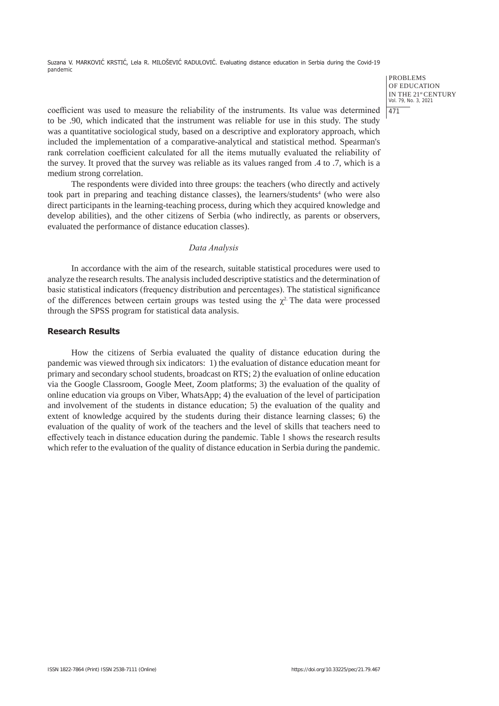PROBLEMS OF EDUCATION IN THE 21st CENTURY Vol. 79, No. 3, 2021 471

coefficient was used to measure the reliability of the instruments. Its value was determined to be .90, which indicated that the instrument was reliable for use in this study. The study was a quantitative sociological study, based on a descriptive and exploratory approach, which included the implementation of a comparative-analytical and statistical method. Spearman's rank correlation coefficient calculated for all the items mutually evaluated the reliability of the survey. It proved that the survey was reliable as its values ranged from .4 to .7, which is a medium strong correlation.

The respondents were divided into three groups: the teachers (who directly and actively took part in preparing and teaching distance classes), the learners/students<sup>4</sup> (who were also direct participants in the learning-teaching process, during which they acquired knowledge and develop abilities), and the other citizens of Serbia (who indirectly, as parents or observers, evaluated the performance of distance education classes).

## *Data Analysis*

In accordance with the aim of the research, suitable statistical procedures were used to analyze the research results. The analysis included descriptive statistics and the determination of basic statistical indicators (frequency distribution and percentages). The statistical significance of the differences between certain groups was tested using the  $\chi^2$ . The data were processed through the SPSS program for statistical data analysis.

## **Research Results**

How the citizens of Serbia evaluated the quality of distance education during the pandemic was viewed through six indicators: 1) the evaluation of distance education meant for primary and secondary school students, broadcast on RTS; 2) the evaluation of online education via the Google Classroom, Google Meet, Zoom platforms; 3) the evaluation of the quality of online education via groups on Viber, WhatsApp; 4) the evaluation of the level of participation and involvement of the students in distance education; 5) the evaluation of the quality and extent of knowledge acquired by the students during their distance learning classes; 6) the evaluation of the quality of work of the teachers and the level of skills that teachers need to effectively teach in distance education during the pandemic. Table 1 shows the research results which refer to the evaluation of the quality of distance education in Serbia during the pandemic.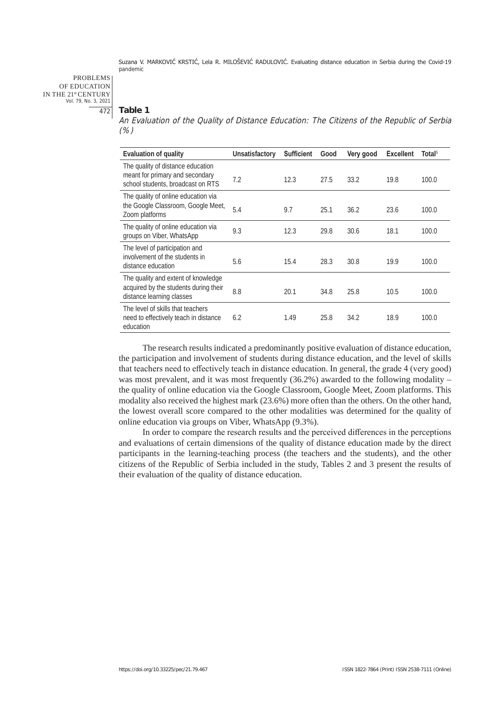PROBLEMS OF EDUCATION IN THE 21st CENTURY Vol. 79, No. 3, 2021 472

#### **Table 1**

An Evaluation of the Quality of Distance Education: The Citizens of the Republic of Serbia (%)

| Evaluation of quality                                                                                     | Unsatisfactory | <b>Sufficient</b> | Good | Very good | <b>Excellent</b> | Total <sup>5</sup> |
|-----------------------------------------------------------------------------------------------------------|----------------|-------------------|------|-----------|------------------|--------------------|
| The quality of distance education<br>meant for primary and secondary<br>school students, broadcast on RTS | 7.2            | 12.3              | 27.5 | 33.2      | 19.8             | 100.0              |
| The quality of online education via<br>the Google Classroom, Google Meet,<br>Zoom platforms               | 5.4            | 9.7               | 25.1 | 36.2      | 23.6             | 100.0              |
| The quality of online education via<br>groups on Viber, WhatsApp                                          | 9.3            | 12.3              | 29.8 | 30.6      | 18.1             | 100.0              |
| The level of participation and<br>involvement of the students in<br>distance education                    | 5.6            | 15.4              | 28.3 | 30.8      | 19.9             | 100.0              |
| The quality and extent of knowledge<br>acquired by the students during their<br>distance learning classes | 8.8            | 20.1              | 34.8 | 25.8      | 10.5             | 100.0              |
| The level of skills that teachers<br>need to effectively teach in distance<br>education                   | 6.2            | 1.49              | 25.8 | 34.2      | 18.9             | 100.0              |

The research results indicated a predominantly positive evaluation of distance education, the participation and involvement of students during distance education, and the level of skills that teachers need to effectively teach in distance education. In general, the grade 4 (very good) was most prevalent, and it was most frequently (36.2%) awarded to the following modality – the quality of online education via the Google Classroom, Google Meet, Zoom platforms. This modality also received the highest mark (23.6%) more often than the others. On the other hand, the lowest overall score compared to the other modalities was determined for the quality of online education via groups on Viber, WhatsApp (9.3%).

In order to compare the research results and the perceived differences in the perceptions and evaluations of certain dimensions of the quality of distance education made by the direct participants in the learning-teaching process (the teachers and the students), and the other citizens of the Republic of Serbia included in the study, Tables 2 and 3 present the results of their evaluation of the quality of distance education.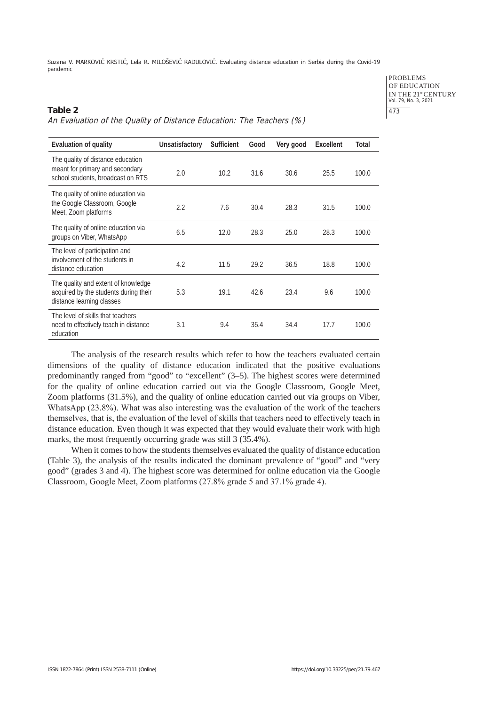PROBLEMS OF EDUCATION IN THE 21<sup>st</sup> CENTURY<br>Vol. 79, No. 3, 2021 473

# **Table 2**  An Evaluation of the Quality of Distance Education: The Teachers (%)

| <b>Evaluation of quality</b>                                                                              | Unsatisfactory | <b>Sufficient</b> | Good | Very good | <b>Excellent</b> | Total |
|-----------------------------------------------------------------------------------------------------------|----------------|-------------------|------|-----------|------------------|-------|
| The quality of distance education<br>meant for primary and secondary<br>school students, broadcast on RTS | 2.0            | 10.2              | 31.6 | 30.6      | 25.5             | 100.0 |
| The quality of online education via<br>the Google Classroom, Google<br>Meet, Zoom platforms               | 2.2            | 7.6               | 30.4 | 28.3      | 31.5             | 100.0 |
| The quality of online education via<br>groups on Viber, WhatsApp                                          | 6.5            | 12.0              | 28.3 | 25.0      | 28.3             | 100.0 |
| The level of participation and<br>involvement of the students in<br>distance education                    | 4.2            | 11.5              | 29.2 | 36.5      | 18.8             | 100.0 |
| The quality and extent of knowledge<br>acquired by the students during their<br>distance learning classes | 5.3            | 19.1              | 42.6 | 23.4      | 9.6              | 100.0 |
| The level of skills that teachers<br>need to effectively teach in distance<br>education                   | 3.1            | 9.4               | 35.4 | 34.4      | 17.7             | 100.0 |

The analysis of the research results which refer to how the teachers evaluated certain dimensions of the quality of distance education indicated that the positive evaluations predominantly ranged from "good" to "excellent" (3–5). The highest scores were determined for the quality of online education carried out via the Google Classroom, Google Meet, Zoom platforms (31.5%), and the quality of online education carried out via groups on Viber, WhatsApp (23.8%). What was also interesting was the evaluation of the work of the teachers themselves, that is, the evaluation of the level of skills that teachers need to effectively teach in distance education. Even though it was expected that they would evaluate their work with high marks, the most frequently occurring grade was still 3 (35.4%).

When it comes to how the students themselves evaluated the quality of distance education (Table 3), the analysis of the results indicated the dominant prevalence of "good" and "very good" (grades 3 and 4). The highest score was determined for online education via the Google Classroom, Google Meet, Zoom platforms (27.8% grade 5 and 37.1% grade 4).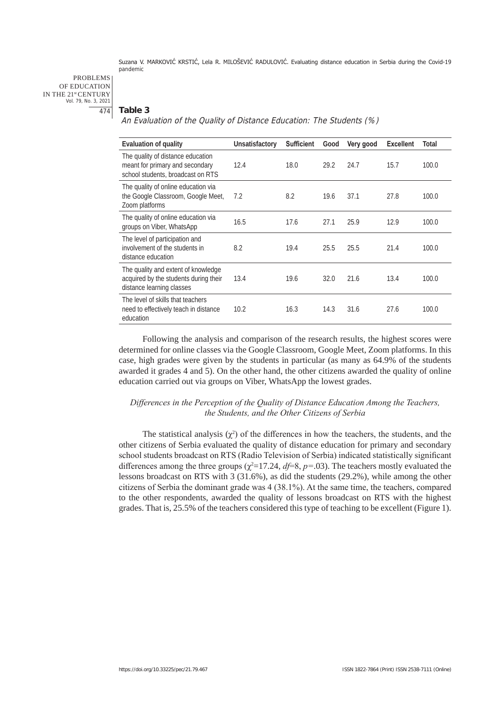PROBLEMS OF EDUCATION IN THE 21st CENTURY Vol. 79, No. 3, 2021 474

## **Table 3**

An Evaluation of the Quality of Distance Education: The Students (%)

| Evaluation of quality                                                                                     | Unsatisfactory | <b>Sufficient</b> | Good | Very good | <b>Excellent</b> | Total |
|-----------------------------------------------------------------------------------------------------------|----------------|-------------------|------|-----------|------------------|-------|
| The quality of distance education<br>meant for primary and secondary<br>school students, broadcast on RTS | 12.4           | 18.0              | 29.2 | 24.7      | 15.7             | 100.0 |
| The quality of online education via<br>the Google Classroom, Google Meet,<br>Zoom platforms               | 7.2            | 8.2               | 19.6 | 37.1      | 27.8             | 100.0 |
| The quality of online education via<br>groups on Viber, WhatsApp                                          | 16.5           | 17.6              | 27.1 | 25.9      | 12.9             | 100.0 |
| The level of participation and<br>involvement of the students in<br>distance education                    | 8.2            | 19.4              | 25.5 | 25.5      | 21.4             | 100.0 |
| The quality and extent of knowledge<br>acquired by the students during their<br>distance learning classes | 13.4           | 19.6              | 32.0 | 21.6      | 13.4             | 100.0 |
| The level of skills that teachers<br>need to effectively teach in distance<br>education                   | 10.2           | 16.3              | 14.3 | 31.6      | 27.6             | 100.0 |

Following the analysis and comparison of the research results, the highest scores were determined for online classes via the Google Classroom, Google Meet, Zoom platforms. In this case, high grades were given by the students in particular (as many as 64.9% of the students awarded it grades 4 and 5). On the other hand, the other citizens awarded the quality of online education carried out via groups on Viber, WhatsApp the lowest grades.

## *Differences in the Perception of the Quality of Distance Education Among the Teachers, the Students, and the Other Citizens of Serbia*

The statistical analysis  $(\chi^2)$  of the differences in how the teachers, the students, and the other citizens of Serbia evaluated the quality of distance education for primary and secondary school students broadcast on RTS (Radio Television of Serbia) indicated statistically significant differences among the three groups ( $\chi^2$ =17.24, *df*=8, *p*=.03). The teachers mostly evaluated the lessons broadcast on RTS with 3 (31.6%), as did the students (29.2%), while among the other citizens of Serbia the dominant grade was 4 (38.1%). At the same time, the teachers, compared to the other respondents, awarded the quality of lessons broadcast on RTS with the highest grades. That is, 25.5% of the teachers considered this type of teaching to be excellent (Figure 1).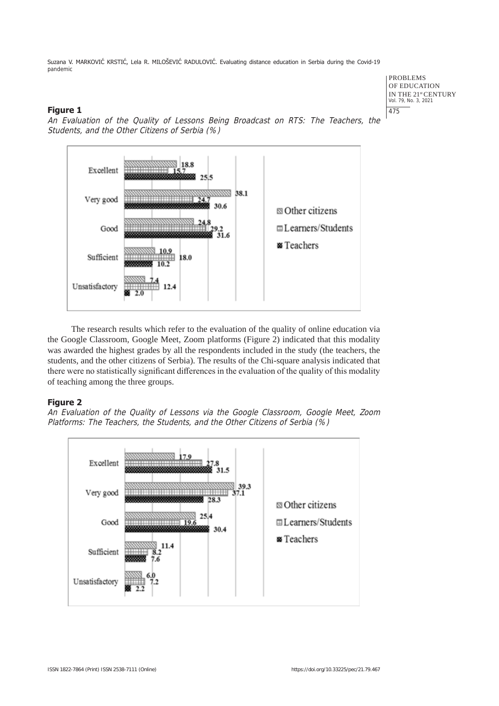PROBLEMS OF EDUCATION IN THE 21<sup>st</sup> CENTURY<br>Vol. 79, No. 3, 2021 475

## **Figure 1**



An Evaluation of the Quality of Lessons Being Broadcast on RTS: The Teachers, the Students, and the Other Citizens of Serbia (%)

The research results which refer to the evaluation of the quality of online education via the Google Classroom, Google Meet, Zoom platforms (Figure 2) indicated that this modality was awarded the highest grades by all the respondents included in the study (the teachers, the students, and the other citizens of Serbia). The results of the Chi-square analysis indicated that there were no statistically significant differences in the evaluation of the quality of this modality of teaching among the three groups.

## **Figure 2**

An Evaluation of the Quality of Lessons via the Google Classroom, Google Meet, Zoom Platforms: The Teachers, the Students, and the Other Citizens of Serbia (%)

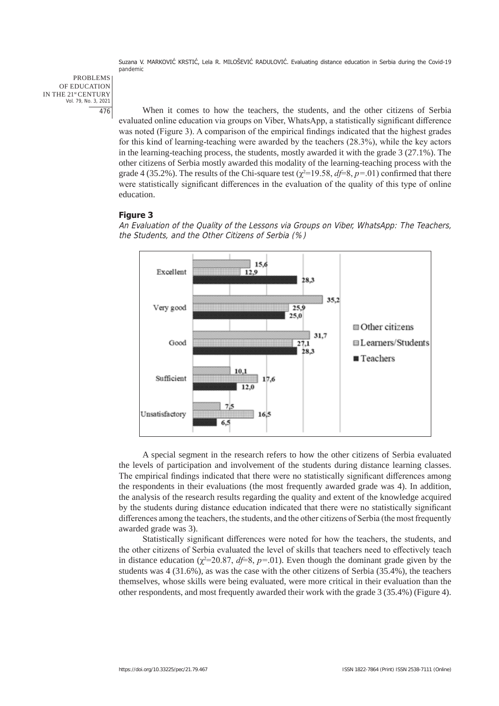PROBLEMS OF EDUCATION IN THE 21st CENTURY Vol. 79, No. 3, 2021 476

When it comes to how the teachers, the students, and the other citizens of Serbia evaluated online education via groups on Viber, WhatsApp, a statistically significant difference was noted (Figure 3). A comparison of the empirical findings indicated that the highest grades for this kind of learning-teaching were awarded by the teachers (28.3%), while the key actors in the learning-teaching process, the students, mostly awarded it with the grade 3 (27.1%). The other citizens of Serbia mostly awarded this modality of the learning-teaching process with the grade 4 (35.2%). The results of the Chi-square test ( $\chi^2$ =19.58, *d*f=8, *p*=.01) confirmed that there were statistically significant differences in the evaluation of the quality of this type of online education.

## **Figure 3**



An Evaluation of the Quality of the Lessons via Groups on Viber, WhatsApp: The Teachers, the Students, and the Other Citizens of Serbia (%)

A special segment in the research refers to how the other citizens of Serbia evaluated the levels of participation and involvement of the students during distance learning classes. The empirical findings indicated that there were no statistically significant differences among the respondents in their evaluations (the most frequently awarded grade was 4). In addition, the analysis of the research results regarding the quality and extent of the knowledge acquired by the students during distance education indicated that there were no statistically significant differences among the teachers, the students, and the other citizens of Serbia (the most frequently awarded grade was 3).

Statistically significant differences were noted for how the teachers, the students, and the other citizens of Serbia evaluated the level of skills that teachers need to effectively teach in distance education  $(\chi^2=20.87, d=5, p=0.01)$ . Even though the dominant grade given by the students was 4 (31.6%), as was the case with the other citizens of Serbia (35.4%), the teachers themselves, whose skills were being evaluated, were more critical in their evaluation than the other respondents, and most frequently awarded their work with the grade 3 (35.4%) (Figure 4).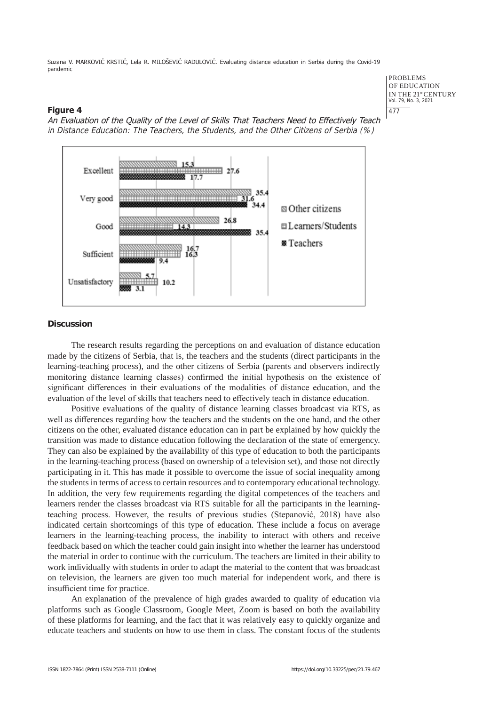#### **Figure 4**



An Evaluation of the Quality of the Level of Skills That Teachers Need to Effectively Teach in Distance Education: The Teachers, the Students, and the Other Citizens of Serbia (%)

#### **Discussion**

The research results regarding the perceptions on and evaluation of distance education made by the citizens of Serbia, that is, the teachers and the students (direct participants in the learning-teaching process), and the other citizens of Serbia (parents and observers indirectly monitoring distance learning classes) confirmed the initial hypothesis on the existence of significant differences in their evaluations of the modalities of distance education, and the evaluation of the level of skills that teachers need to effectively teach in distance education.

Positive evaluations of the quality of distance learning classes broadcast via RTS, as well as differences regarding how the teachers and the students on the one hand, and the other citizens on the other, evaluated distance education can in part be explained by how quickly the transition was made to distance education following the declaration of the state of emergency. They can also be explained by the availability of this type of education to both the participants in the learning-teaching process (based on ownership of a television set), and those not directly participating in it. This has made it possible to overcome the issue of social inequality among the students in terms of access to certain resources and to contemporary educational technology. In addition, the very few requirements regarding the digital competences of the teachers and learners render the classes broadcast via RTS suitable for all the participants in the learningteaching process. However, the results of previous studies (Stepanović, 2018) have also indicated certain shortcomings of this type of education. These include a focus on average learners in the learning-teaching process, the inability to interact with others and receive feedback based on which the teacher could gain insight into whether the learner has understood the material in order to continue with the curriculum. The teachers are limited in their ability to work individually with students in order to adapt the material to the content that was broadcast on television, the learners are given too much material for independent work, and there is insufficient time for practice.

An explanation of the prevalence of high grades awarded to quality of education via platforms such as Google Classroom, Google Meet, Zoom is based on both the availability of these platforms for learning, and the fact that it was relatively easy to quickly organize and educate teachers and students on how to use them in class. The constant focus of the students

PROBLEMS OF EDUCATION IN THE 21st CENTURY Vol. 79, No. 3, 2021

477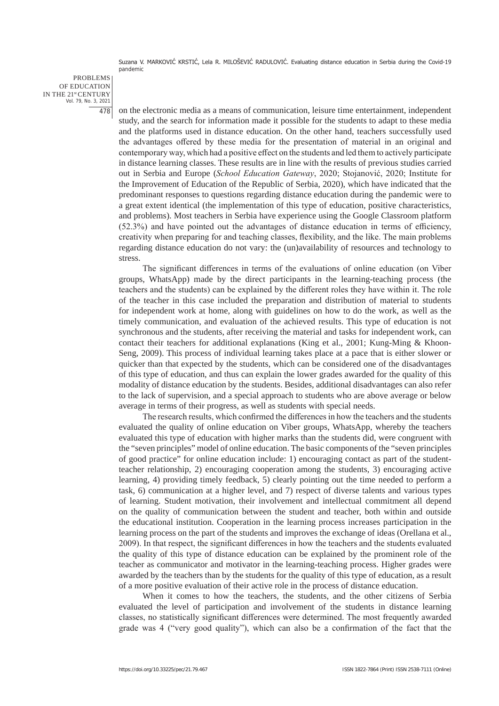PROBLEMS OF EDUCATION IN THE 21st CENTURY Vol. 79, No. 3, 2021 478

on the electronic media as a means of communication, leisure time entertainment, independent study, and the search for information made it possible for the students to adapt to these media and the platforms used in distance education. On the other hand, teachers successfully used the advantages offered by these media for the presentation of material in an original and contemporary way, which had a positive effect on the students and led them to actively participate in distance learning classes. These results are in line with the results of previous studies carried out in Serbia and Europe (*School Education Gateway*, 2020; Stojanović, 2020; Institute for the Improvement of Education of the Republic of Serbia, 2020), which have indicated that the predominant responses to questions regarding distance education during the pandemic were to a great extent identical (the implementation of this type of education, positive characteristics, and problems). Most teachers in Serbia have experience using the Google Classroom platform (52.3%) and have pointed out the advantages of distance education in terms of efficiency, creativity when preparing for and teaching classes, flexibility, and the like. The main problems regarding distance education do not vary: the (un)availability of resources and technology to stress.

The significant differences in terms of the evaluations of online education (on Viber groups, WhatsApp) made by the direct participants in the learning-teaching process (the teachers and the students) can be explained by the different roles they have within it. The role of the teacher in this case included the preparation and distribution of material to students for independent work at home, along with guidelines on how to do the work, as well as the timely communication, and evaluation of the achieved results. This type of education is not synchronous and the students, after receiving the material and tasks for independent work, can contact their teachers for additional explanations (King et al., 2001; Kung-Ming & Khoon-Seng, 2009). This process of individual learning takes place at a pace that is either slower or quicker than that expected by the students, which can be considered one of the disadvantages of this type of education, and thus can explain the lower grades awarded for the quality of this modality of distance education by the students. Besides, additional disadvantages can also refer to the lack of supervision, and a special approach to students who are above average or below average in terms of their progress, as well as students with special needs.

The research results, which confirmed the differences in how the teachers and the students evaluated the quality of online education on Viber groups, WhatsApp, whereby the teachers evaluated this type of education with higher marks than the students did, were congruent with the "seven principles" model of online education. The basic components of the "seven principles of good practice" for online education include: 1) encouraging contact as part of the studentteacher relationship, 2) encouraging cooperation among the students, 3) encouraging active learning, 4) providing timely feedback, 5) clearly pointing out the time needed to perform a task, 6) communication at a higher level, and 7) respect of diverse talents and various types of learning. Student motivation, their involvement and intellectual commitment all depend on the quality of communication between the student and teacher, both within and outside the educational institution. Cooperation in the learning process increases participation in the learning process on the part of the students and improves the exchange of ideas (Orellana et al., 2009). In that respect, the significant differences in how the teachers and the students evaluated the quality of this type of distance education can be explained by the prominent role of the teacher as communicator and motivator in the learning-teaching process. Higher grades were awarded by the teachers than by the students for the quality of this type of education, as a result of a more positive evaluation of their active role in the process of distance education.

When it comes to how the teachers, the students, and the other citizens of Serbia evaluated the level of participation and involvement of the students in distance learning classes, no statistically significant differences were determined. The most frequently awarded grade was 4 ("very good quality"), which can also be a confirmation of the fact that the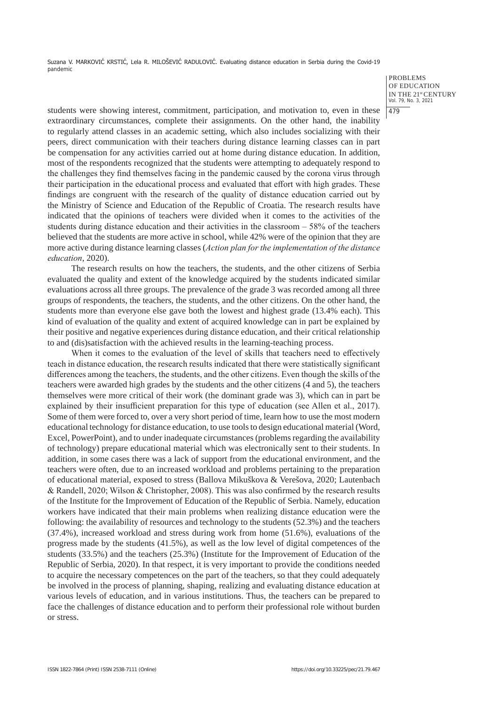> PROBLEMS OF EDUCATION IN THE 21st CENTURY Vol. 79, No. 3, 2021 479

students were showing interest, commitment, participation, and motivation to, even in these extraordinary circumstances, complete their assignments. On the other hand, the inability to regularly attend classes in an academic setting, which also includes socializing with their peers, direct communication with their teachers during distance learning classes can in part be compensation for any activities carried out at home during distance education. In addition, most of the respondents recognized that the students were attempting to adequately respond to the challenges they find themselves facing in the pandemic caused by the corona virus through their participation in the educational process and evaluated that effort with high grades. These findings are congruent with the research of the quality of distance education carried out by the Ministry of Science and Education of the Republic of Croatia. The research results have indicated that the opinions of teachers were divided when it comes to the activities of the students during distance education and their activities in the classroom – 58% of the teachers believed that the students are more active in school, while 42% were of the opinion that they are more active during distance learning classes (*Action plan for the implementation of the distance education*, 2020).

The research results on how the teachers, the students, and the other citizens of Serbia evaluated the quality and extent of the knowledge acquired by the students indicated similar evaluations across all three groups. The prevalence of the grade 3 was recorded among all three groups of respondents, the teachers, the students, and the other citizens. On the other hand, the students more than everyone else gave both the lowest and highest grade (13.4% each). This kind of evaluation of the quality and extent of acquired knowledge can in part be explained by their positive and negative experiences during distance education, and their critical relationship to and (dis)satisfaction with the achieved results in the learning-teaching process.

When it comes to the evaluation of the level of skills that teachers need to effectively teach in distance education, the research results indicated that there were statistically significant differences among the teachers, the students, and the other citizens. Even though the skills of the teachers were awarded high grades by the students and the other citizens (4 and 5), the teachers themselves were more critical of their work (the dominant grade was 3), which can in part be explained by their insufficient preparation for this type of education (see Allen et al., 2017). Some of them were forced to, over a very short period of time, learn how to use the most modern educational technology for distance education, to use tools to design educational material (Word, Excel, PowerPoint), and to under inadequate circumstances (problems regarding the availability of technology) prepare educational material which was electronically sent to their students. In addition, in some cases there was a lack of support from the educational environment, and the teachers were often, due to an increased workload and problems pertaining to the preparation of educational material, exposed to stress (Ballova Mikuškova & Verešova, 2020; Lautenbach & Randell, 2020; Wilson & Christopher, 2008). This was also confirmed by the research results of the Institute for the Improvement of Education of the Republic of Serbia. Namely, education workers have indicated that their main problems when realizing distance education were the following: the availability of resources and technology to the students (52.3%) and the teachers (37.4%), increased workload and stress during work from home (51.6%), evaluations of the progress made by the students (41.5%), as well as the low level of digital competences of the students (33.5%) and the teachers (25.3%) (Institute for the Improvement of Education of the Republic of Serbia, 2020). In that respect, it is very important to provide the conditions needed to acquire the necessary competences on the part of the teachers, so that they could adequately be involved in the process of planning, shaping, realizing and evaluating distance education at various levels of education, and in various institutions. Thus, the teachers can be prepared to face the challenges of distance education and to perform their professional role without burden or stress.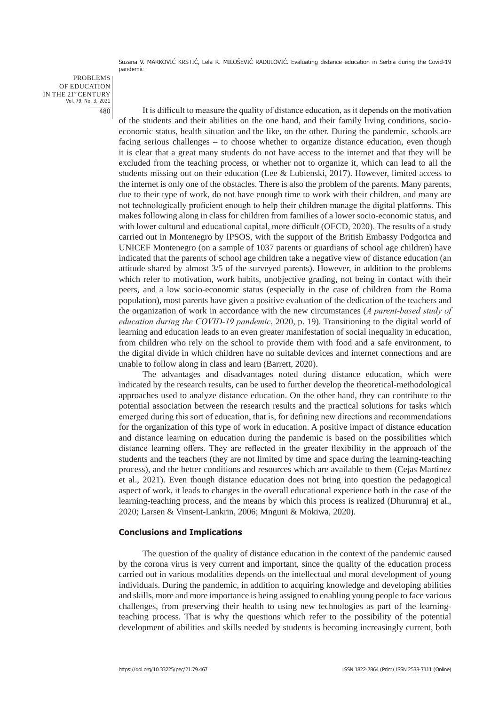PROBLEMS OF EDUCATION IN THE 21st CENTURY Vol. 79, No. 3, 2021 480

It is difficult to measure the quality of distance education, as it depends on the motivation of the students and their abilities on the one hand, and their family living conditions, socioeconomic status, health situation and the like, on the other. During the pandemic, schools are facing serious challenges – to choose whether to organize distance education, even though it is clear that a great many students do not have access to the internet and that they will be excluded from the teaching process, or whether not to organize it, which can lead to all the students missing out on their education (Lee & Lubienski, 2017). However, limited access to the internet is only one of the obstacles. There is also the problem of the parents. Many parents, due to their type of work, do not have enough time to work with their children, and many are not technologically proficient enough to help their children manage the digital platforms. This makes following along in class for children from families of a lower socio-economic status, and with lower cultural and educational capital, more difficult (OECD, 2020). The results of a study carried out in Montenegro by IPSOS, with the support of the British Embassy Podgorica and UNICEF Montenegro (on a sample of 1037 parents or guardians of school age children) have indicated that the parents of school age children take a negative view of distance education (an attitude shared by almost 3/5 of the surveyed parents). However, in addition to the problems which refer to motivation, work habits, unobjective grading, not being in contact with their peers, and a low socio-economic status (especially in the case of children from the Roma population), most parents have given a positive evaluation of the dedication of the teachers and the organization of work in accordance with the new circumstances (*A parent-based study of education during the COVID-19 pandemic*, 2020, p. 19). Transitioning to the digital world of learning and education leads to an even greater manifestation of social inequality in education, from children who rely on the school to provide them with food and a safe environment, to the digital divide in which children have no suitable devices and internet connections and are unable to follow along in class and learn (Barrett, 2020).

The advantages and disadvantages noted during distance education, which were indicated by the research results, can be used to further develop the theoretical-methodological approaches used to analyze distance education. On the other hand, they can contribute to the potential association between the research results and the practical solutions for tasks which emerged during this sort of education, that is, for defining new directions and recommendations for the organization of this type of work in education. A positive impact of distance education and distance learning on education during the pandemic is based on the possibilities which distance learning offers. They are reflected in the greater flexibility in the approach of the students and the teachers (they are not limited by time and space during the learning-teaching process), and the better conditions and resources which are available to them (Cejas Martinez et al., 2021). Even though distance education does not bring into question the pedagogical aspect of work, it leads to changes in the overall educational experience both in the case of the learning-teaching process, and the means by which this process is realized (Dhurumraj et al., 2020; Larsen & Vinsent-Lankrin, 2006; Mnguni & Mokiwa, 2020).

#### **Conclusions and Implications**

The question of the quality of distance education in the context of the pandemic caused by the corona virus is very current and important, since the quality of the education process carried out in various modalities depends on the intellectual and moral development of young individuals. During the pandemic, in addition to acquiring knowledge and developing abilities and skills, more and more importance is being assigned to enabling young people to face various challenges, from preserving their health to using new technologies as part of the learningteaching process. That is why the questions which refer to the possibility of the potential development of abilities and skills needed by students is becoming increasingly current, both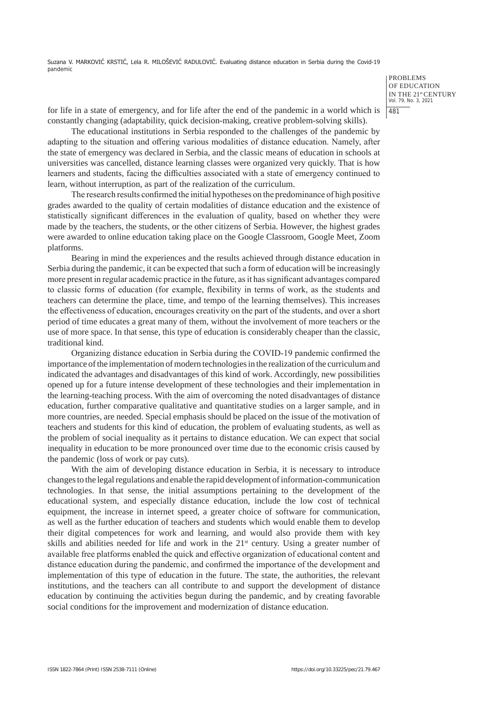> PROBLEMS OF EDUCATION IN THE 21st CENTURY Vol. 79, No. 3, 2021 481

for life in a state of emergency, and for life after the end of the pandemic in a world which is constantly changing (adaptability, quick decision-making, creative problem-solving skills).

The educational institutions in Serbia responded to the challenges of the pandemic by adapting to the situation and offering various modalities of distance education. Namely, after the state of emergency was declared in Serbia, and the classic means of education in schools at universities was cancelled, distance learning classes were organized very quickly. That is how learners and students, facing the difficulties associated with a state of emergency continued to learn, without interruption, as part of the realization of the curriculum.

The research results confirmed the initial hypotheses on the predominance of high positive grades awarded to the quality of certain modalities of distance education and the existence of statistically significant differences in the evaluation of quality, based on whether they were made by the teachers, the students, or the other citizens of Serbia. However, the highest grades were awarded to online education taking place on the Google Classroom, Google Meet, Zoom platforms.

Bearing in mind the experiences and the results achieved through distance education in Serbia during the pandemic, it can be expected that such a form of education will be increasingly more present in regular academic practice in the future, as it has significant advantages compared to classic forms of education (for example, flexibility in terms of work, as the students and teachers can determine the place, time, and tempo of the learning themselves). This increases the effectiveness of education, encourages creativity on the part of the students, and over a short period of time educates a great many of them, without the involvement of more teachers or the use of more space. In that sense, this type of education is considerably cheaper than the classic, traditional kind.

Organizing distance education in Serbia during the COVID-19 pandemic confirmed the importance of the implementation of modern technologies in the realization of the curriculum and indicated the advantages and disadvantages of this kind of work. Accordingly, new possibilities opened up for a future intense development of these technologies and their implementation in the learning-teaching process. With the aim of overcoming the noted disadvantages of distance education, further comparative qualitative and quantitative studies on a larger sample, and in more countries, are needed. Special emphasis should be placed on the issue of the motivation of teachers and students for this kind of education, the problem of evaluating students, as well as the problem of social inequality as it pertains to distance education. We can expect that social inequality in education to be more pronounced over time due to the economic crisis caused by the pandemic (loss of work or pay cuts).

With the aim of developing distance education in Serbia, it is necessary to introduce changes to the legal regulations and enable the rapid development of information-communication technologies. In that sense, the initial assumptions pertaining to the development of the educational system, and especially distance education, include the low cost of technical equipment, the increase in internet speed, a greater choice of software for communication, as well as the further education of teachers and students which would enable them to develop their digital competences for work and learning, and would also provide them with key skills and abilities needed for life and work in the  $21<sup>st</sup>$  century. Using a greater number of available free platforms enabled the quick and effective organization of educational content and distance education during the pandemic, and confirmed the importance of the development and implementation of this type of education in the future. The state, the authorities, the relevant institutions, and the teachers can all contribute to and support the development of distance education by continuing the activities begun during the pandemic, and by creating favorable social conditions for the improvement and modernization of distance education.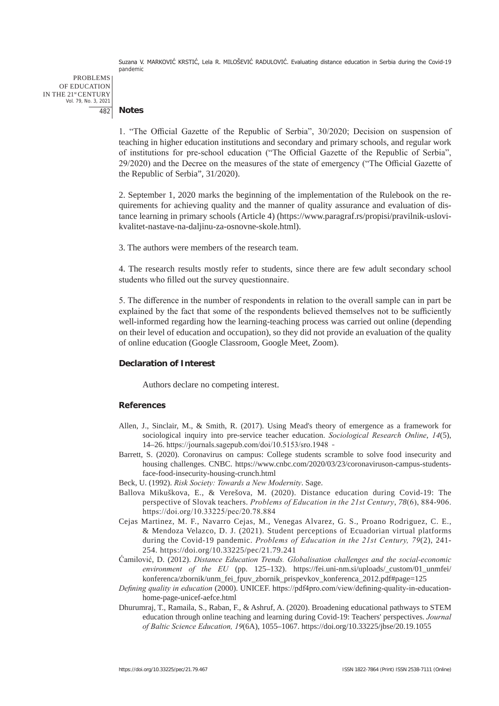PROBLEMS OF EDUCATION IN THE 21st CENTURY Vol. 79, No. 3, 2021 482

**Notes**

1. "The Official Gazette of the Republic of Serbia", 30/2020; Decision on suspension of teaching in higher education institutions and secondary and primary schools, and regular work of institutions for pre-school education ("The Official Gazette of the Republic of Serbia", 29/2020) and the Decree on the measures of the state of emergency ("The Official Gazette of the Republic of Serbia", 31/2020).

2. September 1, 2020 marks the beginning of the implementation of the Rulebook on the requirements for achieving quality and the manner of quality assurance and evaluation of distance learning in primary schools (Article 4) (https://www.paragraf.rs/propisi/pravilnik-uslovikvalitet-nastave-na-daljinu-za-osnovne-skole.html).

3. The authors were members of the research team.

4. The research results mostly refer to students, since there are few adult secondary school students who filled out the survey questionnaire.

5. The difference in the number of respondents in relation to the overall sample can in part be explained by the fact that some of the respondents believed themselves not to be sufficiently well-informed regarding how the learning-teaching process was carried out online (depending on their level of education and occupation), so they did not provide an evaluation of the quality of online education (Google Classroom, Google Meet, Zoom).

## **Declaration of Interest**

Authors declare no competing interest.

## **References**

- Allen, J., Sinclair, M., & Smith, R. (2017). Using Mead's theory of emergence as a framework for sociological inquiry into pre-service teacher education. *Sociological Research Online*, *14*(5), 14–26. https://journals.sagepub.com/doi/10.5153/sro.1948
- Barrett, S. (2020). Coronavirus on campus: College students scramble to solve food insecurity and housing challenges. CNBC. https://www.cnbc.com/2020/03/23/coronaviruson-campus-studentsface-food-insecurity-housing-crunch.html
- Beck, U. (1992). *Risk Society: Towards a New Modernity*. Sage.
- Ballova Mikuškova, E., & Verešova, M. (2020). Distance education during Covid-19: The perspective of Slovak teachers. *Problems of Education in the 21st Century*, *78*(6), 884-906. https://doi.org/10.33225/pec/20.78.884
- Cejas Martinez, M. F., Navarro Cejas, M., Venegas Alvarez, G. S., Proano Rodriguez, C. E., & Mendoza Velazco, D. J. (2021). Student perceptions of Ecuadorian virtual platforms during the Covid-19 pandemic. *Problems of Education in the 21st Century, 79*(2), 241- 254. https://doi.org/10.33225/pec/21.79.241
- Ćamilović, D. (2012). *Distance Education Trends. Globalisation challenges and the social-economic environment of the EU* (pp. 125–132). https://fei.uni-nm.si/uploads/\_custom/01\_unmfei/ konferenca/zbornik/unm\_fei\_fpuv\_zbornik\_prispevkov\_konferenca\_2012.pdf#page=125
- *Defining quality in education* (2000). UNICEF. https://pdf4pro.com/view/defining-quality-in-educationhome-page-unicef-aefce.html
- Dhurumraj, T., Ramaila, S., Raban, F., & Ashruf, A. (2020). Broadening educational pathways to STEM education through online teaching and learning during Covid-19: Teachers' perspectives. *Journal of Baltic Science Education, 19*(6A), 1055–1067. https://doi.org/10.33225/jbse/20.19.1055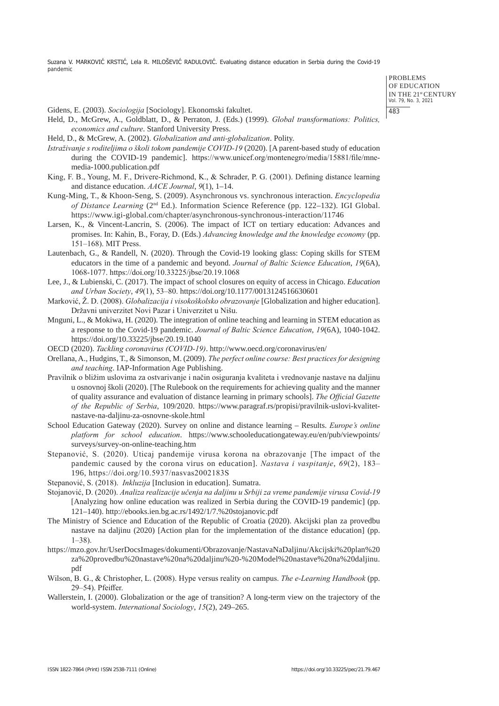PROBLEMS OF EDUCATION IN THE 21st CENTURY Vol. 79, No. 3, 2021 483

Gidens, E. (2003). *Sociologija* [Sociology]. Ekonomski fakultet.

- Held, D., McGrew, A., Goldblatt, D., & Perraton, J. (Eds.) (1999). *Global transformations: Politics, economics and culture*. Stanford University Press.
- Held, D., & McGrew, A. (2002). *Globalization and anti-globalization*. Polity.
- *Istraživanje s roditeljima o školi tokom pandemije COVID-19* (2020). [A parent-based study of education during the COVID-19 pandemic]. https://www.unicef.org/montenegro/media/15881/file/mnemedia-1000.publication.pdf
- King, F. B., Young, M. F., Drivere-Richmond, K., & Schrader, P. G. (2001). Defining distance learning and distance education. *AACE Journal*, *9*(1), 1–14.
- Kung-Ming, T., & Khoon-Seng, S. (2009). Asynchronous vs. synchronous interaction. *Encyclopedia of Distance Learning* (2nd Ed.). Information Science Reference (pp. 122–132). IGI Global. https://www.igi-global.com/chapter/asynchronous-synchronous-interaction/11746
- Larsen, K., & Vincent-Lancrin, S. (2006). The impact of ICT on tertiary education: Advances and promises. In: Kahin, B., Foray, D. (Eds.) *Advancing knowledge and the knowledge economy* (pp. 151–168). MIT Press.
- Lautenbach, G., & Randell, N. (2020). Through the Covid-19 looking glass: Coping skills for STEM educators in the time of a pandemic and beyond. *Journal of Baltic Science Education*, *19*(6A), 1068-1077. https://doi.org/10.33225/jbse/20.19.1068
- Lee, J., & Lubienski, C. (2017). The impact of school closures on equity of access in Chicago. *Education and Urban Society*, *49*(1), 53–80. https://doi.org/10.1177/0013124516630601
- Marković, Ž. D. (2008). *Globalizacija i visokoškolsko obrazovanje* [Globalization and higher education]. Državni univerzitet Novi Pazar i Univerzitet u Nišu.
- Mnguni, L., & Mokiwa, H. (2020). The integration of online teaching and learning in STEM education as a response to the Covid-19 pandemic. *Journal of Baltic Science Education*, *19*(6A), 1040-1042. https://doi.org/10.33225/jbse/20.19.1040
- OECD (2020). *Tackling coronavirus (COVID‑19)*. http://www.oecd.org/coronavirus/en/
- Orellana, A., Hudgins, T., & Simonson, M. (2009). *The perfect online course: Best practices for designing and teaching*. IAP-Information Age Publishing.
- Pravilnik o bližim uslovima za ostvarivanje i način osiguranja kvaliteta i vrednovanje nastave na daljinu u osnovnoj školi (2020). [The Rulebook on the requirements for achieving quality and the manner of quality assurance and evaluation of distance learning in primary schools]. *The Official Gazette of the Republic of Serbia*, 109/2020. https://www.paragraf.rs/propisi/pravilnik-uslovi-kvalitetnastave-na-daljinu-za-osnovne-skole.html
- School Education Gateway (2020). Survey on online and distance learning Results. *Europe's online platform for school education*. https://www.schooleducationgateway.eu/en/pub/viewpoints/ surveys/survey-on-online-teaching.htm
- Stepanović, S. (2020). Uticaj pandemije virusa korona na obrazovanje [The impact of the pandemic caused by the corona virus on education]. *Nastava i vaspitanje*, *69*(2), 183– 196, https://doi.org/10.5937/nasvas2002183S
- Stepanović, S. (2018). *Inkluzija* [Inclusion in education]. Sumatra.
- Stojanović, D. (2020). *Analiza realizacije učenja na daljinu u Srbiji za vreme pandemije virusa Covid-19* [Analyzing how online education was realized in Serbia during the COVID-19 pandemic] (pp. 121–140). http://ebooks.ien.bg.ac.rs/1492/1/7.%20stojanovic.pdf
- The Ministry of Science and Education of the Republic of Croatia (2020). Akcijski plan za provedbu nastave na daljinu (2020) [Action plan for the implementation of the distance education] (pp. 1–38).
- https://mzo.gov.hr/UserDocsImages/dokumenti/Obrazovanje/NastavaNaDaljinu/Akcijski%20plan%20 za%20provedbu%20nastave%20na%20daljinu%20-%20Model%20nastave%20na%20daljinu. pdf
- Wilson, B. G., & Christopher, L. (2008). Hype versus reality on campus. *The e-Learning Handbook* (pp. 29–54). Pfeiffer.
- Wallerstein, I. (2000). Globalization or the age of transition? A long-term view on the trajectory of the world-system. *International Sociology*, *15*(2), 249–265.